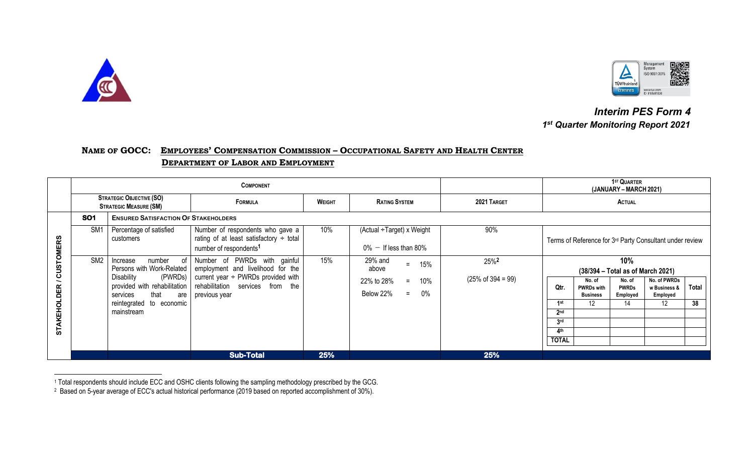



 *Interim PES Form 4 1st Quarter Monitoring Report 2021*

## **NAME OF GOCC: EMPLOYEES' COMPENSATION COMMISSION – OCCUPATIONAL SAFETY AND HEALTH CENTER DEPARTMENT OF LABOR AND EMPLOYMENT**

|                                                |                 |                                                                                                       |                                                                                                                                                                                                                                         |               | (JANUARY – MARCH 2021)                                                                  |                                                   |                                                                          |                                                                                           |                                                 |                                                |             |
|------------------------------------------------|-----------------|-------------------------------------------------------------------------------------------------------|-----------------------------------------------------------------------------------------------------------------------------------------------------------------------------------------------------------------------------------------|---------------|-----------------------------------------------------------------------------------------|---------------------------------------------------|--------------------------------------------------------------------------|-------------------------------------------------------------------------------------------|-------------------------------------------------|------------------------------------------------|-------------|
|                                                |                 | <b>STRATEGIC OBJECTIVE (SO)</b><br><b>STRATEGIC MEASURE (SM)</b>                                      | <b>FORMULA</b>                                                                                                                                                                                                                          | <b>WEIGHT</b> | <b>RATING SYSTEM</b>                                                                    | 2021 TARGET                                       | <b>ACTUAL</b>                                                            |                                                                                           |                                                 |                                                |             |
|                                                | <b>SO1</b>      | <b>ENSURED SATISFACTION OF STAKEHOLDERS</b>                                                           |                                                                                                                                                                                                                                         |               |                                                                                         |                                                   |                                                                          |                                                                                           |                                                 |                                                |             |
|                                                | SM <sub>1</sub> | Percentage of satisfied<br>customers                                                                  | Number of respondents who gave a<br>rating of at least satisfactory $\div$ total<br>number of respondents <sup>1</sup>                                                                                                                  | 10%           | (Actual ÷Target) x Weight<br>$0\%$ - If less than 80%                                   | 90%                                               | Terms of Reference for 3 <sup>rd</sup> Party Consultant under review     |                                                                                           |                                                 |                                                |             |
| <b>USTOMERS</b><br>ပ<br>DER<br><b>STAKEHOL</b> | SM <sub>2</sub> | number<br>Increase<br>Disability<br>that<br>services<br>are<br>reintegrated to economic<br>mainstream | of Number of PWRDs with gainful<br>Persons with Work-Related   employment and livelihood for the<br>(PWRDs) current year $\div$ PWRDs provided with<br>provided with rehabilitation   rehabilitation services from the<br>previous year | 15%           | 29% and<br>15%<br>$=$<br>above<br>10%<br>22% to 28%<br>$=$<br>$0\%$<br>Below 22%<br>$=$ | 25% <sup>2</sup><br>$(25\% \text{ of } 394 = 99)$ | Qtr.<br>1st<br>2 <sub>nd</sub><br>3rd<br>4 <sup>th</sup><br><b>TOTAL</b> | (38/394 – Total as of March 2021)<br>No. of<br><b>PWRDs with</b><br><b>Business</b><br>12 | 10%<br>No. of<br><b>PWRDs</b><br>Employed<br>14 | No. of PWRDs<br>w Business &<br>Employed<br>12 | Total<br>38 |
|                                                |                 |                                                                                                       | <b>Sub-Total</b>                                                                                                                                                                                                                        | 25%           |                                                                                         | 25%                                               |                                                                          |                                                                                           |                                                 |                                                |             |

<sup>1</sup> Total respondents should include ECC and OSHC clients following the sampling methodology prescribed by the GCG.

<sup>2</sup> Based on 5-year average of ECC's actual historical performance (2019 based on reported accomplishment of 30%).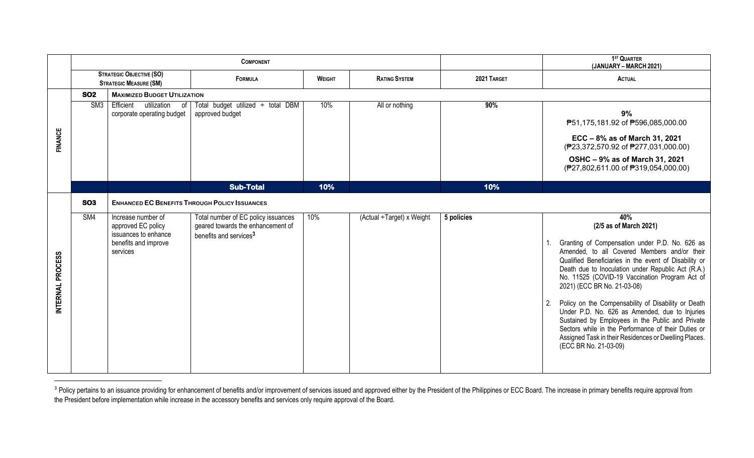|                  |                 |                                                                                                      | <b>COMPONENT</b>                                                                                               |     | 1 <sup>ST</sup> QUARTER<br>(JANUARY – MARCH 2021) |             |                                                                                                                                                                                                                                                                                                                                                                                                                                                                                                                                                                                                                                             |
|------------------|-----------------|------------------------------------------------------------------------------------------------------|----------------------------------------------------------------------------------------------------------------|-----|---------------------------------------------------|-------------|---------------------------------------------------------------------------------------------------------------------------------------------------------------------------------------------------------------------------------------------------------------------------------------------------------------------------------------------------------------------------------------------------------------------------------------------------------------------------------------------------------------------------------------------------------------------------------------------------------------------------------------------|
|                  |                 | <b>STRATEGIC OBJECTIVE (SO)</b><br><b>STRATEGIC MEASURE (SM)</b>                                     | <b>FORMULA</b><br><b>WEIGHT</b>                                                                                |     | <b>RATING SYSTEM</b>                              | 2021 TARGET | <b>ACTUAL</b>                                                                                                                                                                                                                                                                                                                                                                                                                                                                                                                                                                                                                               |
|                  | <b>SO2</b>      | <b>MAXIMIZED BUDGET UTILIZATION</b>                                                                  |                                                                                                                |     |                                                   |             |                                                                                                                                                                                                                                                                                                                                                                                                                                                                                                                                                                                                                                             |
|                  | SM <sub>3</sub> | Efficient<br>utilization<br>of<br>corporate operating budget                                         | Total budget utilized $\div$ total DBM<br>approved budget                                                      | 10% | All or nothing                                    | 90%         | 9%<br>₱51,175,181.92 of ₱596,085,000.00                                                                                                                                                                                                                                                                                                                                                                                                                                                                                                                                                                                                     |
| FINANCE          |                 |                                                                                                      |                                                                                                                |     |                                                   |             | ECC - 8% as of March 31, 2021<br>(P23,372,570.92 of P277,031,000.00)                                                                                                                                                                                                                                                                                                                                                                                                                                                                                                                                                                        |
|                  |                 |                                                                                                      |                                                                                                                |     |                                                   |             | OSHC - 9% as of March 31, 2021<br>(P27,802,611.00 of P319,054,000.00)                                                                                                                                                                                                                                                                                                                                                                                                                                                                                                                                                                       |
|                  |                 |                                                                                                      | <b>Sub-Total</b>                                                                                               | 10% |                                                   | 10%         |                                                                                                                                                                                                                                                                                                                                                                                                                                                                                                                                                                                                                                             |
|                  | <b>SO3</b>      | <b>ENHANCED EC BENEFITS THROUGH POLICY ISSUANCES</b>                                                 |                                                                                                                |     |                                                   |             |                                                                                                                                                                                                                                                                                                                                                                                                                                                                                                                                                                                                                                             |
| INTERNAL PROCESS | S <sub>M4</sub> | Increase number of<br>approved EC policy<br>issuances to enhance<br>benefits and improve<br>services | Total number of EC policy issuances<br>geared towards the enhancement of<br>benefits and services <sup>3</sup> | 10% | (Actual ÷Target) x Weight                         | 5 policies  | 40%<br>(2/5 as of March 2021)<br>Granting of Compensation under P.D. No. 626 as<br>Amended, to all Covered Members and/or their<br>Qualified Beneficiaries in the event of Disability or<br>Death due to Inoculation under Republic Act (R.A.)<br>No. 11525 (COVID-19 Vaccination Program Act of<br>2021) (ECC BR No. 21-03-08)<br>Policy on the Compensability of Disability or Death<br>2.<br>Under P.D. No. 626 as Amended, due to Injuries<br>Sustained by Employees in the Public and Private<br>Sectors while in the Performance of their Duties or<br>Assigned Task in their Residences or Dwelling Places.<br>(ECC BR No. 21-03-09) |

<sup>&</sup>lt;sup>3</sup> Policy pertains to an issuance providing for enhancement of benefits and/or improvement of services issued and approved either by the President of the Philippines or ECC Board. The increase in primary benefits require the President before implementation while increase in the accessory benefits and services only require approval of the Board.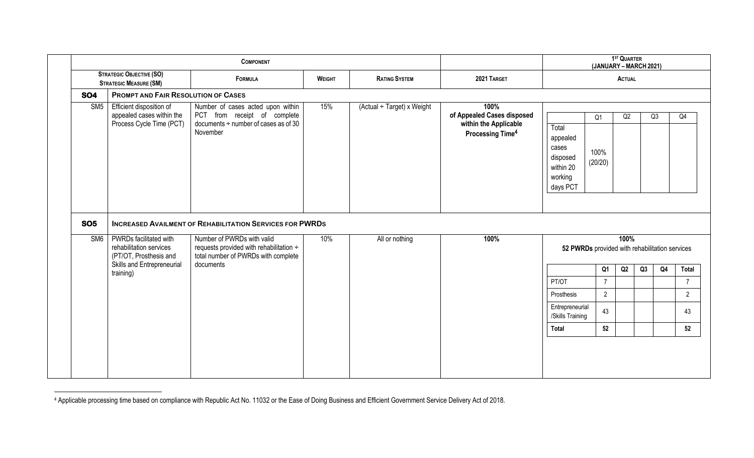|                               |                                                                                   | <b>COMPONENT</b>                                                                                                                         |                                       | 1 <sup>ST</sup> QUARTER<br>(JANUARY - MARCH 2021) |                                                                                                   |                                                                            |                                                |      |    |    |       |  |
|-------------------------------|-----------------------------------------------------------------------------------|------------------------------------------------------------------------------------------------------------------------------------------|---------------------------------------|---------------------------------------------------|---------------------------------------------------------------------------------------------------|----------------------------------------------------------------------------|------------------------------------------------|------|----|----|-------|--|
|                               | <b>STRATEGIC OBJECTIVE (SO)</b><br>FORMULA<br><b>STRATEGIC MEASURE (SM)</b>       |                                                                                                                                          | <b>WEIGHT</b><br><b>RATING SYSTEM</b> |                                                   | 2021 TARGET                                                                                       | <b>ACTUAL</b>                                                              |                                                |      |    |    |       |  |
| <b>SO4</b>                    | <b>PROMPT AND FAIR RESOLUTION OF CASES</b>                                        |                                                                                                                                          |                                       |                                                   |                                                                                                   |                                                                            |                                                |      |    |    |       |  |
| SM <sub>5</sub>               | Efficient disposition of<br>appealed cases within the<br>Process Cycle Time (PCT) | Number of cases acted upon within<br>PCT from receipt of complete<br>documents $\div$ number of cases as of 30<br>November               | 15%                                   | $(Actual \div Target) \times Weight$              | 100%<br>of Appealed Cases disposed<br>within the Applicable<br><b>Processing Time<sup>4</sup></b> | Total<br>appealed<br>cases<br>disposed<br>within 20<br>working<br>days PCT | Q <sub>1</sub><br>100%<br>(20/20)              | Q2   |    | Q3 | Q4    |  |
|                               |                                                                                   |                                                                                                                                          |                                       |                                                   |                                                                                                   |                                                                            |                                                |      |    |    |       |  |
| <b>SO5</b><br>SM <sub>6</sub> | PWRDs facilitated with<br>rehabilitation services                                 | <b>INCREASED AVAILMENT OF REHABILITATION SERVICES FOR PWRDS</b><br>Number of PWRDs with valid<br>requests provided with rehabilitation ÷ | 10%                                   | All or nothing                                    | 100%                                                                                              |                                                                            | 52 PWRDs provided with rehabilitation services | 100% |    |    |       |  |
|                               | (PT/OT, Prosthesis and<br>Skills and Entrepreneurial                              | total number of PWRDs with complete<br>documents                                                                                         |                                       |                                                   |                                                                                                   |                                                                            | Q <sub>1</sub>                                 | Q2   | Q3 | Q4 | Total |  |
|                               | training)                                                                         |                                                                                                                                          |                                       |                                                   |                                                                                                   | PT/OT                                                                      | $\overline{7}$                                 |      |    |    |       |  |
|                               |                                                                                   |                                                                                                                                          |                                       |                                                   |                                                                                                   | Prosthesis                                                                 | $\overline{2}$                                 |      |    |    |       |  |
|                               |                                                                                   |                                                                                                                                          |                                       |                                                   |                                                                                                   | Entrepreneurial<br>/Skills Training                                        | 43                                             |      |    |    |       |  |

<sup>4</sup> Applicable processing time based on compliance with Republic Act No. 11032 or the Ease of Doing Business and Efficient Government Service Delivery Act of 2018.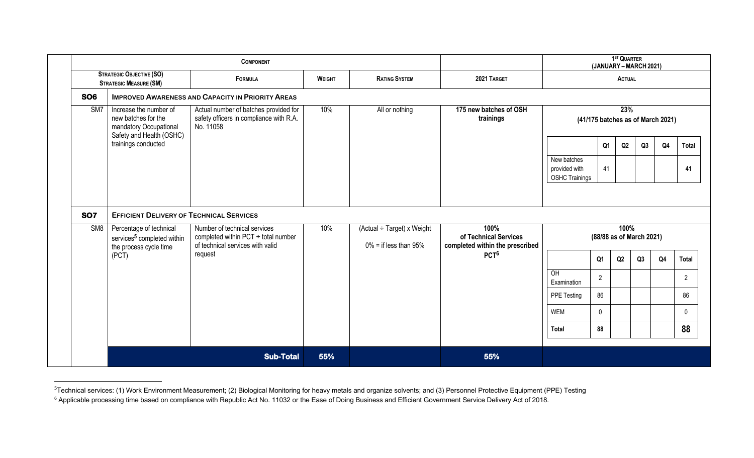|                               |                                                                                                                      | <b>COMPONENT</b>                                                                                             |        | 1 <sup>ST</sup> QUARTER<br>(JANUARY - MARCH 2021)      |                                                                  |                                                       |                          |      |    |                                   |                |  |
|-------------------------------|----------------------------------------------------------------------------------------------------------------------|--------------------------------------------------------------------------------------------------------------|--------|--------------------------------------------------------|------------------------------------------------------------------|-------------------------------------------------------|--------------------------|------|----|-----------------------------------|----------------|--|
|                               | <b>STRATEGIC OBJECTIVE (SO)</b><br><b>FORMULA</b><br><b>STRATEGIC MEASURE (SM)</b>                                   |                                                                                                              | WEIGHT | <b>RATING SYSTEM</b>                                   | 2021 TARGET                                                      | <b>ACTUAL</b>                                         |                          |      |    |                                   |                |  |
| <b>SO6</b>                    | <b>IMPROVED AWARENESS AND CAPACITY IN PRIORITY AREAS</b>                                                             |                                                                                                              |        |                                                        |                                                                  |                                                       |                          |      |    |                                   |                |  |
| SM7                           | Increase the number of<br>new batches for the<br>mandatory Occupational<br>Safety and Health (OSHC)                  | Actual number of batches provided for<br>safety officers in compliance with R.A.<br>No. 11058                | 10%    | All or nothing                                         | 175 new batches of OSH<br>trainings                              |                                                       |                          | 23%  |    | (41/175 batches as of March 2021) |                |  |
|                               | trainings conducted                                                                                                  |                                                                                                              |        |                                                        |                                                                  | New batches<br>provided with<br><b>OSHC Trainings</b> | Q <sub>1</sub><br>41     | Q2   | Q3 | Q <sub>4</sub>                    | Total<br>41    |  |
| <b>SO7</b><br>SM <sub>8</sub> | <b>EFFICIENT DELIVERY OF TECHNICAL SERVICES</b><br>Percentage of technical<br>services <sup>5</sup> completed within | Number of technical services<br>completed within PCT $\div$ total number<br>of technical services with valid | 10%    | (Actual ÷ Target) x Weight<br>$0\%$ = if less than 95% | 100%<br>of Technical Services<br>completed within the prescribed |                                                       | (88/88 as of March 2021) | 100% |    |                                   |                |  |
|                               | the process cycle time<br>(PCT)                                                                                      | request                                                                                                      |        |                                                        | PCT <sup>6</sup>                                                 |                                                       | Q <sub>1</sub>           | Q2   | Q3 | Q4                                | Total          |  |
|                               |                                                                                                                      |                                                                                                              |        |                                                        |                                                                  | $rac{}{O}$<br>Examination                             | $\overline{2}$           |      |    |                                   | $\overline{2}$ |  |
|                               |                                                                                                                      |                                                                                                              |        |                                                        |                                                                  | PPE Testing                                           | 86                       |      |    |                                   | 86             |  |
|                               |                                                                                                                      |                                                                                                              |        |                                                        |                                                                  | <b>WEM</b>                                            | $\mathbf 0$              |      |    |                                   | $\mathbf{0}$   |  |
|                               |                                                                                                                      |                                                                                                              |        |                                                        |                                                                  |                                                       |                          |      |    |                                   |                |  |
|                               |                                                                                                                      |                                                                                                              |        |                                                        |                                                                  | Total                                                 | 88                       |      |    |                                   | 88             |  |

<sup>&</sup>lt;sup>5</sup>Technical services: (1) Work Environment Measurement; (2) Biological Monitoring for heavy metals and organize solvents; and (3) Personnel Protective Equipment (PPE) Testing

<sup>&</sup>lt;sup>6</sup> Applicable processing time based on compliance with Republic Act No. 11032 or the Ease of Doing Business and Efficient Government Service Delivery Act of 2018.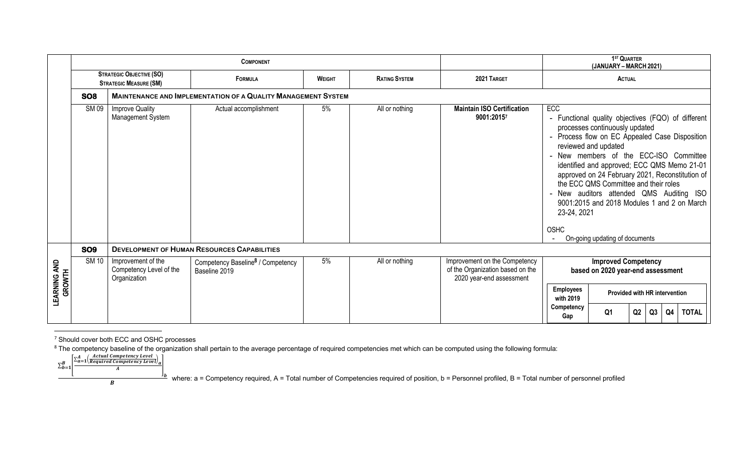|                                |                 |                                                                                                                                              | <b>COMPONENT</b>                                               |                                | 1 <sup>ST</sup> QUARTER<br>(JANUARY - MARCH 2021) |                                                                                               |                                   |                                                                                                                                                                                                                                                                                                                                                                                                                                                                                  |          |    |  |              |  |  |  |
|--------------------------------|-----------------|----------------------------------------------------------------------------------------------------------------------------------------------|----------------------------------------------------------------|--------------------------------|---------------------------------------------------|-----------------------------------------------------------------------------------------------|-----------------------------------|----------------------------------------------------------------------------------------------------------------------------------------------------------------------------------------------------------------------------------------------------------------------------------------------------------------------------------------------------------------------------------------------------------------------------------------------------------------------------------|----------|----|--|--------------|--|--|--|
|                                |                 | <b>STRATEGIC OBJECTIVE (SO)</b><br><b>STRATEGIC MEASURE (SM)</b>                                                                             | FORMULA                                                        | WEIGHT<br><b>RATING SYSTEM</b> |                                                   | 2021 TARGET                                                                                   | <b>ACTUAL</b>                     |                                                                                                                                                                                                                                                                                                                                                                                                                                                                                  |          |    |  |              |  |  |  |
|                                | <b>SO8</b>      |                                                                                                                                              |                                                                |                                |                                                   |                                                                                               |                                   |                                                                                                                                                                                                                                                                                                                                                                                                                                                                                  |          |    |  |              |  |  |  |
|                                | <b>SM 09</b>    | <b>MAINTENANCE AND IMPLEMENTATION OF A QUALITY MANAGEMENT SYSTEM</b><br>Actual accomplishment<br><b>Improve Quality</b><br>Management System |                                                                | 5%                             | All or nothing                                    | <b>Maintain ISO Certification</b><br>9001:20157                                               | ECC<br>23-24, 2021<br><b>OSHC</b> | - Functional quality objectives (FQO) of different<br>processes continuously updated<br>- Process flow on EC Appealed Case Disposition<br>reviewed and updated<br>- New members of the ECC-ISO Committee<br>identified and approved; ECC QMS Memo 21-01<br>approved on 24 February 2021, Reconstitution of<br>the ECC QMS Committee and their roles<br>- New auditors attended QMS Auditing ISO<br>9001:2015 and 2018 Modules 1 and 2 on March<br>On-going updating of documents |          |    |  |              |  |  |  |
|                                | SO <sub>9</sub> |                                                                                                                                              | <b>DEVELOPMENT OF HUMAN RESOURCES CAPABILITIES</b>             |                                |                                                   |                                                                                               |                                   |                                                                                                                                                                                                                                                                                                                                                                                                                                                                                  |          |    |  |              |  |  |  |
| <b>LEARNING AND<br/>GROWTH</b> | <b>SM 10</b>    | Improvement of the<br>Competency Level of the<br>Organization                                                                                | Competency Baseline <sup>8</sup> / Competency<br>Baseline 2019 | 5%                             | All or nothing                                    | Improvement on the Competency<br>of the Organization based on the<br>2020 year-end assessment |                                   | <b>Improved Competency</b><br>based on 2020 year-end assessment                                                                                                                                                                                                                                                                                                                                                                                                                  |          |    |  |              |  |  |  |
|                                |                 |                                                                                                                                              |                                                                |                                |                                                   |                                                                                               | <b>Employees</b><br>with 2019     | <b>Provided with HR intervention</b>                                                                                                                                                                                                                                                                                                                                                                                                                                             |          |    |  |              |  |  |  |
|                                |                 |                                                                                                                                              |                                                                |                                |                                                   |                                                                                               | Competency<br>Gap                 | Q1                                                                                                                                                                                                                                                                                                                                                                                                                                                                               | Q2<br>Q3 | Q4 |  | <b>TOTAL</b> |  |  |  |

<sup>&</sup>lt;sup>7</sup> Should cover both ECC and OSHC processes

b

<sup>8</sup> The competency baseline of the organization shall pertain to the average percentage of required competencies met which can be computed using the following formula:



**B** *B* where: a = Competency required, A = Total number of Competencies required of position, b = Personnel profiled, B = Total number of personnel profiled **B**